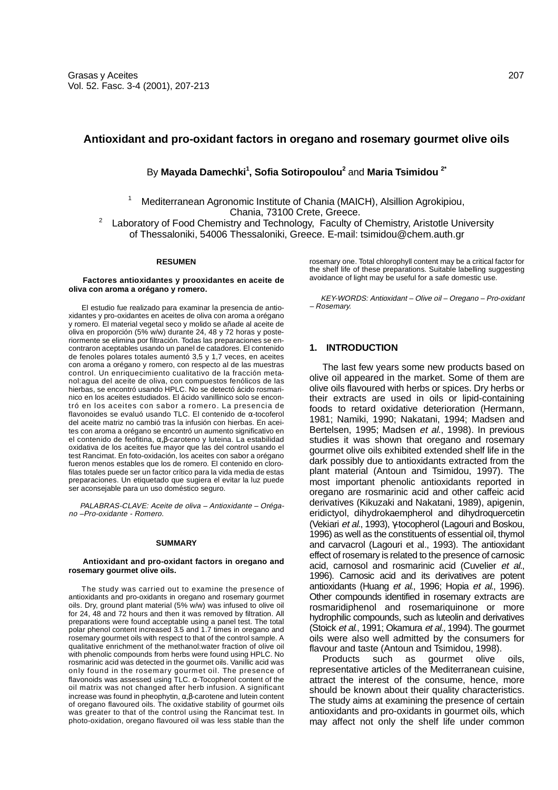# **Antioxidant and pro-oxidant factors in oregano and rosemary gourmet olive oils**

By **Mayada Damechki<sup>1</sup> , Sofia Sotiropoulou2** and **Maria Tsimidou 2\***

1 Mediterranean Agronomic Institute of Chania (MAICH), Alsillion Agrokipiou, Chania, 73100 Crete, Greece.

2 Laboratory of Food Chemistry and Technology, Faculty of Chemistry, Aristotle University of Thessaloniki, 54006 Thessaloniki, Greece. E-mail: tsimidou@chem.auth.gr

#### **RESUMEN**

#### **Factores antioxidantes y prooxidantes en aceite de oliva con aroma a orégano y romero.**

El estudio fue realizado para examinar la presencia de antioxidantes y pro-oxidantes en aceites de oliva con aroma a orégano y romero. El material vegetal seco y molido se añade al aceite de oliva en proporción (5% w/w) durante 24, 48 y 72 horas y posteriormente se elimina por filtración. Todas las preparaciones se encontraron aceptables usando un panel de catadores. El contenido de fenoles polares totales aumentó 3,5 y 1,7 veces, en aceites con aroma a orégano y romero, con respecto al de las muestras control. Un enriquecimiento cualitativo de la fracción metanol:agua del aceite de oliva, con compuestos fenólicos de las hierbas, se encontró usando HPLC. No se detectó ácido rosmarinico en los aceites estudiados. El ácido vanillinico solo se encontró en los aceites con sabor a romero. La presencia de flavonoides se evaluó usando TLC. El contenido de α-tocoferol del aceite matriz no cambió tras la infusión con hierbas. En aceites con aroma a orégano se encontró un aumento significativo en el contenido de feofitina, α,β-caroteno y luteina. La estabilidad oxidativa de los aceites fue mayor que las del control usando el test Rancimat. En foto-oxidación, los aceites con sabor a orégano fueron menos estables que los de romero. El contenido en clorofilas totales puede ser un factor crítico para la vida media de estas preparaciones. Un etiquetado que sugiera el evitar la luz puede ser aconsejable para un uso doméstico seguro.

PALABRAS-CLAVE: Aceite de oliva – Antioxidante – Orégano –Pro-oxidante - Romero.

#### **SUMMARY**

#### **Antioxidant and pro-oxidant factors in oregano and rosemary gourmet olive oils.**

The study was carried out to examine the presence of antioxidants and pro-oxidants in oregano and rosemary gourmet oils. Dry, ground plant material (5% w/w) was infused to olive oil for 24, 48 and 72 hours and then it was removed by filtration. All preparations were found acceptable using a panel test. The total polar phenol content increased 3.5 and 1.7 times in oregano and rosemary gourmet oils with respect to that of the control sample. A qualitative enrichment of the methanol:water fraction of olive oil with phenolic compounds from herbs were found using HPLC. No rosmarinic acid was detected in the gourmet oils. Vanillic acid was only found in the rosemary gourmet oil. The presence of flavonoids was assessed using TLC. α-Tocopherol content of the oil matrix was not changed after herb infusion. A significant increase was found in pheophytin, α,β-carotene and lutein content of oregano flavoured oils. The oxidative stability of gourmet oils was greater to that of the control using the Rancimat test. In photo-oxidation, oregano flavoured oil was less stable than the rosemary one. Total chlorophyll content may be a critical factor for the shelf life of these preparations. Suitable labelling suggesting avoidance of light may be useful for a safe domestic use.

KEY-WORDS: Antioxidant – Olive oil – Oregano – Pro-oxidant – Rosemary.

### **1. INTRODUCTION**

The last few years some new products based on olive oil appeared in the market. Some of them are olive oils flavoured with herbs or spices. Dry herbs or their extracts are used in oils or lipid-containing foods to retard oxidative deterioration (Hermann, 1981; Namiki, 1990; Nakatani, 1994; Madsen and Bertelsen, 1995; Madsen et al., 1998). In previous studies it was shown that oregano and rosemary gourmet olive oils exhibited extended shelf life in the dark possibly due to antioxidants extracted from the plant material (Antoun and Tsimidou, 1997). The most important phenolic antioxidants reported in oregano are rosmarinic acid and other caffeic acid derivatives (Kikuzaki and Nakatani, 1989), apigenin, eridictyol, dihydrokaempherol and dihydroquercetin (Vekiari et al., 1993), γ-tocopherol (Lagouri and Boskou, 1996) as well as the constituents of essential oil, thymol and carvacrol (Lagouri et al., 1993). The antioxidant effect of rosemary is related to the presence of carnosic acid, carnosol and rosmarinic acid (Cuvelier et al., 1996). Carnosic acid and its derivatives are potent antioxidants (Huang et al., 1996; Hopia et al., 1996). Other compounds identified in rosemary extracts are rosmaridiphenol and rosemariquinone or more hydrophilic compounds, such as luteolin and derivatives (Stoick et al., 1991; Okamura et al., 1994). The gourmet oils were also well admitted by the consumers for

flavour and taste (Antoun and Tsimidou, 1998).<br>Products such as gourmet olive Products such as gourmet olive oils, representative articles of the Mediterranean cuisine, attract the interest of the consume, hence, more should be known about their quality characteristics. The study aims at examining the presence of certain antioxidants and pro-oxidants in gourmet oils, which may affect not only the shelf life under common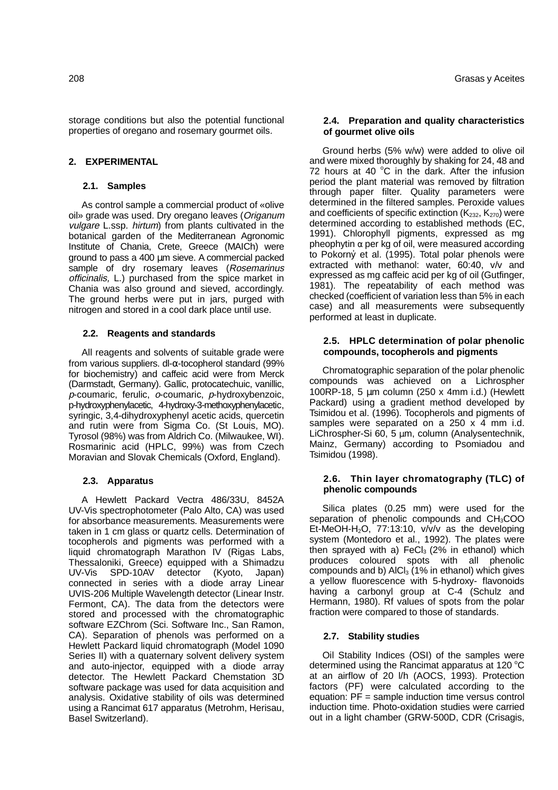storage conditions but also the potential functional properties of oregano and rosemary gourmet oils.

# **2. EXPERIMENTAL**

## **2.1. Samples**

As control sample a commercial product of «olive oil» grade was used. Dry oregano leaves (Origanum vulgare L.ssp. hirtum) from plants cultivated in the botanical garden of the Mediterranean Agronomic Institute of Chania, Crete, Greece (MAICh) were ground to pass a 400 µm sieve. A commercial packed sample of dry rosemary leaves (Rosemarinus officinalis, L.) purchased from the spice market in Chania was also ground and sieved, accordingly. The ground herbs were put in jars, purged with nitrogen and stored in a cool dark place until use.

## **2.2. Reagents and standards**

All reagents and solvents of suitable grade were from various suppliers. dl-α-tocopherol standard (99% for biochemistry) and caffeic acid were from Merck (Darmstadt, Germany). Gallic, protocatechuic, vanillic, p-coumaric, ferulic, o-coumaric, p-hydroxybenzoic, p-hydroxyphenylacetic, 4-hydroxy-3-methoxyphenylacetic, syringic, 3,4-dihydroxyphenyl acetic acids, quercetin and rutin were from Sigma Co. (St Louis, MO). Tyrosol (98%) was from Aldrich Co. (Milwaukee, WI). Rosmarinic acid (HPLC, 99%) was from Czech Moravian and Slovak Chemicals (Oxford, England).

## **2.3. Apparatus**

A Hewlett Packard Vectra 486/33U, 8452A UV-Vis spectrophotometer (Palo Alto, CA) was used for absorbance measurements. Measurements were taken in 1 cm glass or quartz cells. Determination of tocopherols and pigments was performed with a liquid chromatograph Marathon IV (Rigas Labs, Thessaloniki, Greece) equipped with a Shimadzu UV-Vis SPD-10AV detector (Kyoto, Japan) connected in series with a diode array Linear UVIS-206 Multiple Wavelength detector (Linear Instr. Fermont, CA). The data from the detectors were stored and processed with the chromatographic software EZChrom (Sci. Software Inc., San Ramon, CA). Separation of phenols was performed on a Hewlett Packard liquid chromatograph (Model 1090 Series II) with a quaternary solvent delivery system and auto-injector, equipped with a diode array detector. The Hewlett Packard Chemstation 3D software package was used for data acquisition and analysis. Oxidative stability of oils was determined using a Rancimat 617 apparatus (Metrohm, Herisau, Basel Switzerland).

### **2.4. Preparation and quality characteristics of gourmet olive oils**

Ground herbs (5% w/w) were added to olive oil and were mixed thoroughly by shaking for 24, 48 and 72 hours at 40  $^{\circ}$ C in the dark. After the infusion period the plant material was removed by filtration through paper filter. Quality parameters were determined in the filtered samples. Peroxide values and coefficients of specific extinction  $(K_{232}, K_{270})$  were determined according to established methods (EC, 1991). Chlorophyll pigments, expressed as mg pheophytin  $\alpha$  per kg of oil, were measured according to Pokorný et al. (1995). Total polar phenols were extracted with methanol: water, 60:40, v/v and expressed as mg caffeic acid per kg of oil (Gutfinger, 1981). The repeatability of each method was checked (coefficient of variation less than 5% in each case) and all measurements were subsequently performed at least in duplicate.

## **2.5. HPLC determination of polar phenolic compounds, tocopherols and pigments**

Chromatographic separation of the polar phenolic compounds was achieved on a Lichrospher 100RP-18, 5 µm column (250 x 4mm i.d.) (Hewlett Packard) using a gradient method developed by Tsimidou et al. (1996). Tocopherols and pigments of samples were separated on a 250 x 4 mm i.d. LiChrospher-Si 60, 5 µm, column (Analysentechnik, Mainz, Germany) according to Psomiadou and Tsimidou (1998).

## **2.6. Thin layer chromatography (TLC) of phenolic compounds**

Silica plates (0.25 mm) were used for the separation of phenolic compounds and CH<sub>3</sub>COO Et-MeOH-H<sub>2</sub>O, 77:13:10,  $v/v/v$  as the developing system (Montedoro et al., 1992). The plates were then sprayed with a)  $FeCl<sub>3</sub>$  (2% in ethanol) which produces coloured spots with all phenolic compounds and b)  $AICI<sub>3</sub>$  (1% in ethanol) which gives a yellow fluorescence with 5-hydroxy- flavonoids having a carbonyl group at C-4 (Schulz and Hermann, 1980). Rf values of spots from the polar fraction were compared to those of standards.

# **2.7. Stability studies**

Oil Stability Indices (OSI) of the samples were determined using the Rancimat apparatus at 120 °C at an airflow of 20 l/h (AOCS, 1993). Protection factors (PF) were calculated according to the equation: PF = sample induction time versus control induction time. Photo-oxidation studies were carried out in a light chamber (GRW-500D, CDR (Crisagis,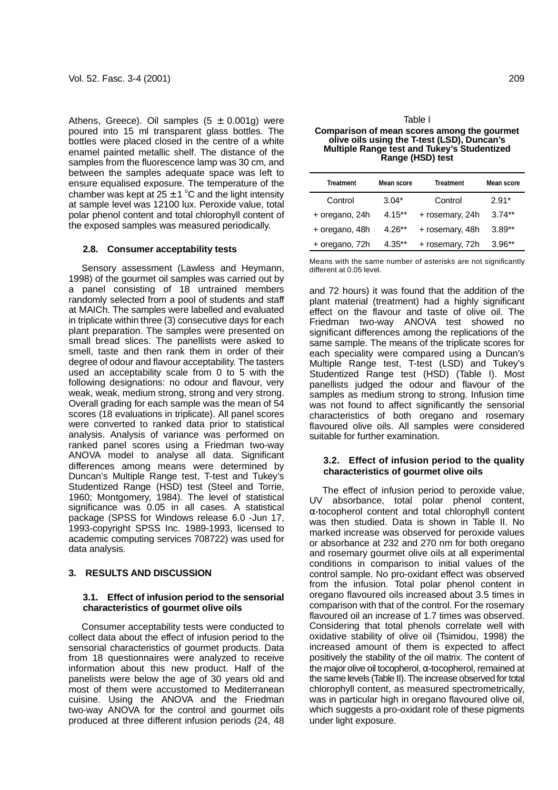Athens, Greece). Oil samples  $(5 \pm 0.001a)$  were poured into 15 ml transparent glass bottles. The bottles were placed closed in the centre of a white enamel painted metallic shelf. The distance of the samples from the fluorescence lamp was 30 cm, and between the samples adequate space was left to ensure equalised exposure. The temperature of the chamber was kept at  $25 \pm 1$  °C and the light intensity at sample level was 12100 lux. Peroxide value, total polar phenol content and total chlorophyll content of the exposed samples was measured periodically.

#### **2.8. Consumer acceptability tests**

Sensory assessment (Lawless and Heymann, 1998) of the gourmet oil samples was carried out by a panel consisting of 18 untrained members randomly selected from a pool of students and staff at MAICh. The samples were labelled and evaluated in triplicate within three (3) consecutive days for each plant preparation. The samples were presented on small bread slices. The panellists were asked to smell, taste and then rank them in order of their degree of odour and flavour acceptability. The tasters used an acceptability scale from 0 to 5 with the following designations: no odour and flavour, very weak, weak, medium strong, strong and very strong. Overall grading for each sample was the mean of 54 scores (18 evaluations in triplicate). All panel scores were converted to ranked data prior to statistical analysis. Analysis of variance was performed on ranked panel scores using a Friedman two-way ANOVA model to analyse all data. Significant differences among means were determined by Duncan's Multiple Range test, T-test and Tukey's Studentized Range (HSD) test (Steel and Torrie, 1960; Montgomery, 1984). The level of statistical significance was 0.05 in all cases. A statistical package (SPSS for Windows release 6.0 -Jun 17, 1993-copyright SPSS Inc. 1989-1993, licensed to academic computing services 708722) was used for data analysis.

## **3. RESULTS AND DISCUSSION**

#### **3.1. Effect of infusion period to the sensorial characteristics of gourmet olive oils**

Consumer acceptability tests were conducted to collect data about the effect of infusion period to the sensorial characteristics of gourmet products. Data from 18 questionnaires were analyzed to receive information about this new product. Half of the panelists were below the age of 30 years old and most of them were accustomed to Mediterranean cuisine. Using the ANOVA and the Friedman two-way ANOVA for the control and gourmet oils produced at three different infusion periods (24, 48

| Table I                                     |
|---------------------------------------------|
| Comparison of mean scores among the gourmet |
| olive oils using the T-test (LSD), Duncan's |
| Multiple Range test and Tukey's Studentized |
| Range (HSD) test                            |

| <b>Treatment</b> | Mean score | <b>Treatment</b> | <b>Mean score</b> |
|------------------|------------|------------------|-------------------|
| Control          | $3.04*$    | Control          | $2.91*$           |
| + oregano, 24h   | $4.15***$  | + rosemary, 24h  | $3.74**$          |
| + oregano, 48h   | $4.26**$   | + rosemary, 48h  | $3.89**$          |
| + oregano, 72h   | $4.35**$   | + rosemary, 72h  | $3.96**$          |

Means with the same number of asterisks are not significantly different at 0.05 level.

and 72 hours) it was found that the addition of the plant material (treatment) had a highly significant effect on the flavour and taste of olive oil. The Friedman two-way ANOVA test showed no significant differences among the replications of the same sample. The means of the triplicate scores for each speciality were compared using a Duncan's Multiple Range test, T-test (LSD) and Tukey's Studentized Range test (HSD) (Table I). Most panellists judged the odour and flavour of the samples as medium strong to strong. Infusion time was not found to affect significantly the sensorial characteristics of both oregano and rosemary flavoured olive oils. All samples were considered suitable for further examination.

## **3.2. Effect of infusion period to the quality characteristics of gourmet olive oils**

The effect of infusion period to peroxide value, UV absorbance, total polar phenol content, α-tocopherol content and total chlorophyll content was then studied. Data is shown in Table II. No marked increase was observed for peroxide values or absorbance at 232 and 270 nm for both oregano and rosemary gourmet olive oils at all experimental conditions in comparison to initial values of the control sample. No pro-oxidant effect was observed from the infusion. Total polar phenol content in oregano flavoured oils increased about 3.5 times in comparison with that of the control. For the rosemary flavoured oil an increase of 1.7 times was observed. Considering that total phenols correlate well with oxidative stability of olive oil (Tsimidou, 1998) the increased amount of them is expected to affect positively the stability of the oil matrix. The content of the major olive oil tocopherol, α-tocopherol, remained at the same levels (Table II). The increase observed for total chlorophyll content, as measured spectrometrically, was in particular high in oregano flavoured olive oil, which suggests a pro-oxidant role of these pigments under light exposure.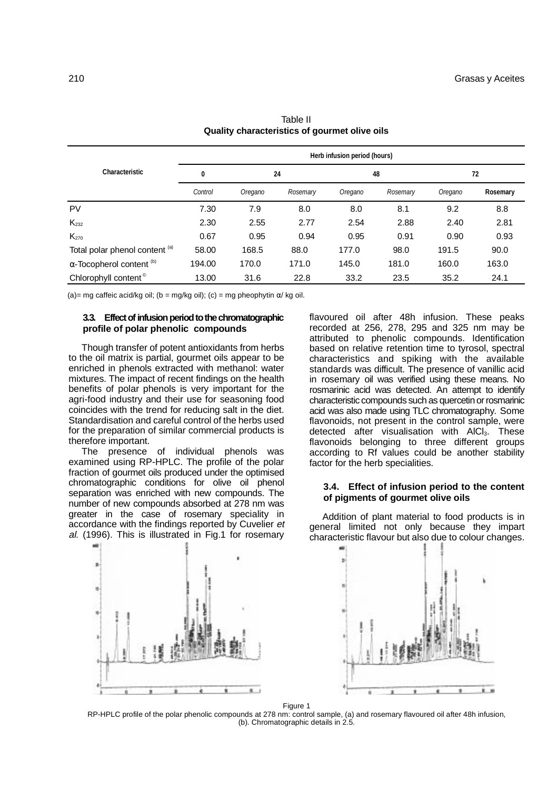|                                             | Herb infusion period (hours) |         |          |         |          |         |          |
|---------------------------------------------|------------------------------|---------|----------|---------|----------|---------|----------|
| Characteristic                              | 0                            | 24      |          | 48      |          | 72      |          |
|                                             | Control                      | Oregano | Rosemary | Oregano | Rosemary | Oregano | Rosemary |
| <b>PV</b>                                   | 7.30                         | 7.9     | 8.0      | 8.0     | 8.1      | 9.2     | 8.8      |
| $K_{232}$                                   | 2.30                         | 2.55    | 2.77     | 2.54    | 2.88     | 2.40    | 2.81     |
| $K_{270}$                                   | 0.67                         | 0.95    | 0.94     | 0.95    | 0.91     | 0.90    | 0.93     |
| Total polar phenol content <sup>(a)</sup>   | 58.00                        | 168.5   | 88.0     | 177.0   | 98.0     | 191.5   | 90.0     |
| $\alpha$ -Tocopherol content <sup>(b)</sup> | 194.00                       | 170.0   | 171.0    | 145.0   | 181.0    | 160.0   | 163.0    |
| Chlorophyll content <sup>®</sup>            | 13.00                        | 31.6    | 22.8     | 33.2    | 23.5     | 35.2    | 24.1     |

Table II **Quality characteristics of gourmet olive oils**

(a)= mg caffeic acid/kg oil; (b = mg/kg oil); (c) = mg pheophytin  $\alpha$ / kg oil.

## **3.3. Effect of infusion period to the chromatographic profile of polar phenolic compounds**

Though transfer of potent antioxidants from herbs to the oil matrix is partial, gourmet oils appear to be enriched in phenols extracted with methanol: water mixtures. The impact of recent findings on the health benefits of polar phenols is very important for the agri-food industry and their use for seasoning food coincides with the trend for reducing salt in the diet. Standardisation and careful control of the herbs used for the preparation of similar commercial products is therefore important.

The presence of individual phenols was examined using RP-HPLC. The profile of the polar fraction of gourmet oils produced under the optimised chromatographic conditions for olive oil phenol separation was enriched with new compounds. The number of new compounds absorbed at 278 nm was greater in the case of rosemary speciality in accordance with the findings reported by Cuvelier et al. (1996). This is illustrated in Fig.1 for rosemary



flavoured oil after 48h infusion. These peaks recorded at 256, 278, 295 and 325 nm may be attributed to phenolic compounds. Identification based on relative retention time to tyrosol, spectral characteristics and spiking with the available standards was difficult. The presence of vanillic acid in rosemary oil was verified using these means. No rosmarinic acid was detected. An attempt to identify characteristic compounds such as quercetin or rosmarinic acid was also made using TLC chromatography. Some flavonoids, not present in the control sample, were detected after visualisation with  $AICI<sub>3</sub>$ . These flavonoids belonging to three different groups according to Rf values could be another stability factor for the herb specialities.

#### **3.4. Effect of infusion period to the content of pigments of gourmet olive oils**

Addition of plant material to food products is in general limited not only because they impart characteristic flavour but also due to colour changes.



Figure 1

RP-HPLC profile of the polar phenolic compounds at 278 nm: control sample, (a) and rosemary flavoured oil after 48h infusion, (b). Chromatographic details in 2.5.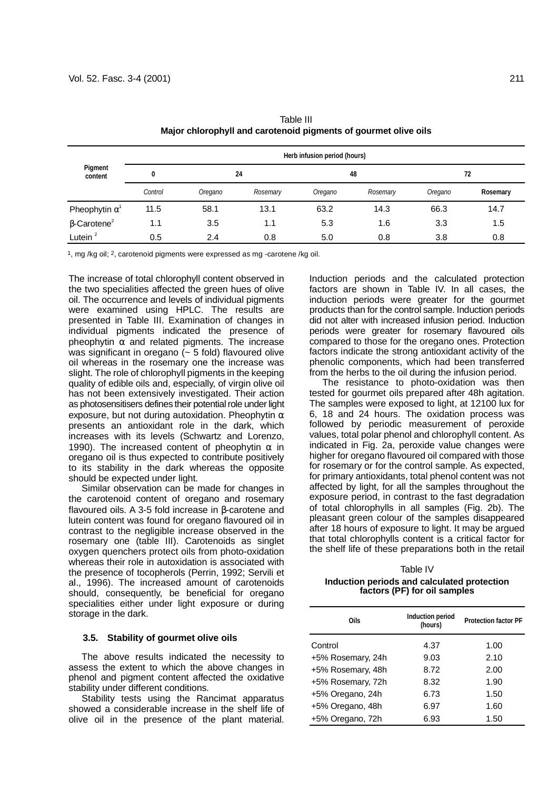|                                |         |         |          | Herb infusion period (hours) |          |         |          |
|--------------------------------|---------|---------|----------|------------------------------|----------|---------|----------|
| Pigment<br>content             | 0       |         | 48<br>24 |                              | 72       |         |          |
|                                | Control | Oregano | Rosemary | Oregano                      | Rosemary | Oregano | Rosemary |
| Pheophytin $\alpha^1$          | 11.5    | 58.1    | 13.1     | 63.2                         | 14.3     | 66.3    | 14.7     |
| $\beta$ -Carotene <sup>2</sup> | 1.1     | 3.5     | 1.1      | 5.3                          | 1.6      | 3.3     | 1.5      |
| Lutein $2$                     | 0.5     | 2.4     | 0.8      | 5.0                          | 0.8      | 3.8     | 0.8      |

Table III **Major chlorophyll and carotenoid pigments of gourmet olive oils**

1, mg /kg oil; 2, carotenoid pigments were expressed as mg -carotene /kg oil.

The increase of total chlorophyll content observed in the two specialities affected the green hues of olive oil. The occurrence and levels of individual pigments were examined using HPLC. The results are presented in Table III. Examination of changes in individual pigments indicated the presence of pheophytin  $\alpha$  and related pigments. The increase was significant in oregano  $(-5$  fold) flavoured olive oil whereas in the rosemary one the increase was slight. The role of chlorophyll pigments in the keeping quality of edible oils and, especially, of virgin olive oil has not been extensively investigated. Their action as photosensitisers defines their potential role under light exposure, but not during autoxidation. Pheophytin  $\alpha$ presents an antioxidant role in the dark, which increases with its levels (Schwartz and Lorenzo, 1990). The increased content of pheophytin  $\alpha$  in oregano oil is thus expected to contribute positively to its stability in the dark whereas the opposite should be expected under light.

Similar observation can be made for changes in the carotenoid content of oregano and rosemary flavoured oils. A 3-5 fold increase in β-carotene and lutein content was found for oregano flavoured oil in contrast to the negligible increase observed in the rosemary one (table III). Carotenoids as singlet oxygen quenchers protect oils from photo-oxidation whereas their role in autoxidation is associated with the presence of tocopherols (Perrin, 1992; Servili et al., 1996). The increased amount of carotenoids should, consequently, be beneficial for oregano specialities either under light exposure or during storage in the dark.

#### **3.5. Stability of gourmet olive oils**

The above results indicated the necessity to assess the extent to which the above changes in phenol and pigment content affected the oxidative stability under different conditions.

Stability tests using the Rancimat apparatus showed a considerable increase in the shelf life of olive oil in the presence of the plant material. Induction periods and the calculated protection factors are shown in Table IV. In all cases, the induction periods were greater for the gourmet products than for the control sample. Induction periods did not alter with increased infusion period. Induction periods were greater for rosemary flavoured oils compared to those for the oregano ones. Protection factors indicate the strong antioxidant activity of the phenolic components, which had been transferred from the herbs to the oil during the infusion period.

The resistance to photo-oxidation was then tested for gourmet oils prepared after 48h agitation. The samples were exposed to light, at 12100 lux for 6, 18 and 24 hours. The oxidation process was followed by periodic measurement of peroxide values, total polar phenol and chlorophyll content. As indicated in Fig. 2a, peroxide value changes were higher for oregano flavoured oil compared with those for rosemary or for the control sample. As expected, for primary antioxidants, total phenol content was not affected by light, for all the samples throughout the exposure period, in contrast to the fast degradation of total chlorophylls in all samples (Fig. 2b). The pleasant green colour of the samples disappeared after 18 hours of exposure to light. It may be argued that total chlorophylls content is a critical factor for the shelf life of these preparations both in the retail

Table IV **Induction periods and calculated protection factors (PF) for oil samples**

| Oils              | Induction period<br>(hours) | <b>Protection factor PF</b> |
|-------------------|-----------------------------|-----------------------------|
| Control           | 4.37                        | 1.00                        |
| +5% Rosemary, 24h | 9.03                        | 2.10                        |
| +5% Rosemary, 48h | 8.72                        | 2.00                        |
| +5% Rosemary, 72h | 8.32                        | 1.90                        |
| +5% Oregano, 24h  | 6.73                        | 1.50                        |
| +5% Oregano, 48h  | 6.97                        | 1.60                        |
| +5% Oregano, 72h  | 6.93                        | 1.50                        |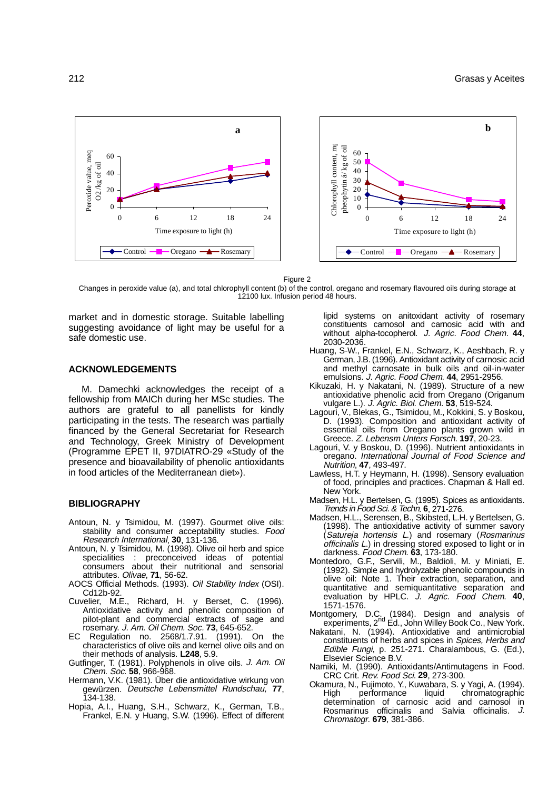



Figure 2

Changes in peroxide value (a), and total chlorophyll content (b) of the control, oregano and rosemary flavoured oils during storage at 12100 lux. Infusion period 48 hours.

market and in domestic storage. Suitable labelling suggesting avoidance of light may be useful for a safe domestic use.

#### **ACKNOWLEDGEMENTS**

M. Damechki acknowledges the receipt of a fellowship from MAICh during her MSc studies. The authors are grateful to all panellists for kindly participating in the tests. The research was partially financed by the General Secretariat for Research and Technology, Greek Ministry of Development (Programme EPET II, 97DIATRO-29 «Study of the presence and bioavailability of phenolic antioxidants in food articles of the Mediterranean diet»).

#### **BIBLIOGRAPHY**

- Antoun, N. y Tsimidou, M. (1997). Gourmet olive oils: stability and consumer acceptability studies. Food Research International, **30**, 131-136.
- Antoun, N. y Tsimidou, M. (1998). Olive oil herb and spice : preconceived ideas of potential consumers about their nutritional and sensorial attributes. Olivae, **71**, 56-62.
- AOCS Official Methods. (1993). Oil Stability Index (OSI). Cd12b-92.
- Cuvelier, M.E., Richard, H. y Berset, C. (1996). Antioxidative activity and phenolic composition of pilot-plant and commercial extracts of sage and rosemary. J. Am. Oil Chem. Soc. **73**, 645-652.
- EC Regulation no. 2568/1.7.91. (1991). On the characteristics of olive oils and kernel olive oils and on their methods of analysis. **L248**, 5.9.
- Gutfinger, T. (1981). Polyphenols in olive oils. J. Am. Oil Chem. Soc. **58**, 966-968.
- Hermann, V.K. (1981). Über die antioxidative wirkung von gewürzen. Deutsche Lebensmittel Rundschau, **77**, 134-138.
- Hopia, A.I., Huang, S.H., Schwarz, K., German, T.B., Frankel, E.N. y Huang, S.W. (1996). Effect of different

lipid systems on anitoxidant activity of rosemary constituents carnosol and carnosic acid with and without alpha-tocopherol. J. Agric. Food Chem. **44**, 2030-2036.

- Huang, S-W., Frankel, E.N., Schwarz, K., Aeshbach, R. y German, J.B. (1996). Antioxidant activity of carnosic acid and methyl carnosate in bulk oils and oil-in-water emulsions. J. Agric. Food Chem. **44**, 2951-2956.
- Kikuzaki, H. y Nakatani, N. (1989). Structure of a new antioxidative phenolic acid from Oregano (Origanum vulgare L.). J. Agric. Biol. Chem. **53**, 519-524.
- Lagouri, V., Blekas, G., Tsimidou, M., Kokkini, S. y Boskou, D. (1993). Composition and antioxidant activity of essential oils from Oregano plants grown wild in Greece. Z. Lebensm Unters Forsch. **197**, 20-23.
- Lagouri, V. y Boskou, D. (1996). Nutrient antioxidants in oregano. International Journal of Food Science and Nutrition, **47**, 493-497.
- Lawless, H.T. y Heymann, H. (1998). Sensory evaluation of food, principles and practices. Chapman & Hall ed. New York.
- Madsen, H.L. y Bertelsen, G. (1995). Spices as antioxidants. Trends in Food Sci. & Techn. **6**, 271-276.
- Madsen, H.L., Serensen, B., Skibsted, L.H. y Bertelsen, G. (1998). The antioxidative activity of summer savory (Satureja hortensis L.) and rosemary (Rosmarinus officinalis L.) in dressing stored exposed to light or in darkness. Food Chem. **63**, 173-180.
- Montedoro, G.F., Servili, M., Baldioli, M. y Miniati, E. (1992). Simple and hydrolyzable phenolic compounds in olive oil: Note 1. Their extraction, separation, and quantitative and semiquantitative separation and evaluation by HPLC. J. Agric. Food Chem. **40**, 1571-1576.
- Montgomery, D.C. (1984). Design and analysis of<br>experiments, 2<sup>nd</sup> Ed., John Willey Book Co., New York.
- Nakatani, N. (1994). Antioxidative and antimicrobial constituents of herbs and spices in Spices, Herbs and Edible Fungi, p. 251-271. Charalambous, G. (Ed.), Elsevier Science B.V.
- Namiki, M. (1990). Antioxidants/Antimutagens in Food. CRC Crit. Rev. Food Sci. **29**, 273-300.
- Okamura, N., Fujimoto, Y., Kuwabara, S. y Yagi, A. (1994). High performance liquid chromatographic determination of carnosic acid and carnosol in Rosmarinus officinalis and Salvia officinalis. J. Chromatogr. **679**, 381-386.